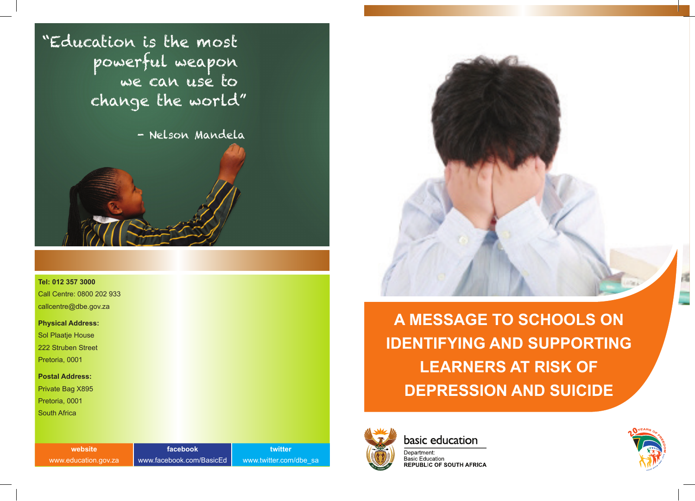"Education is the most powerful weapon change the world"

- Nelson Mandela

### **Tel: 012 357 3000**

Call Centre: 0800 202 933 callcentre@dbe.gov.za

### **Physical Address:**

Sol Plaatje House 222 Struben Street

Pretoria, 0001

### **Postal Address:**

Private Bag X895

Pretoria, 0001

South Africa

| website              | <b>Tacebook</b>          | twitter         |
|----------------------|--------------------------|-----------------|
| www.education.gov.za | www.facebook.com/BasicEd | www.twitter.com |





**A MESSAGE TO SCHOOLS ON IDENTIFYING AND SUPPORTING LEARNERS AT RISK OF DEPRESSION AND SUICIDE**



basic education

Department: Basic Education **REPUBLIC OF SOUTH AFRICA** 

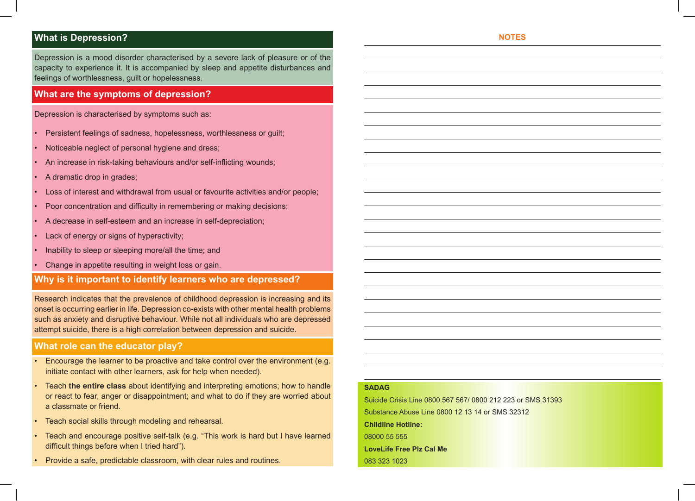# **What is Depression?**

Depression is a mood disorder characterised by a severe lack of pleasure or of the capacity to experience it. It is accompanied by sleep and appetite disturbances and feelings of worthlessness, guilt or hopelessness.

## **What are the symptoms of depression?**

Depression is characterised by symptoms such as:

- Persistent feelings of sadness, hopelessness, worthlessness or guilt;
- Noticeable neglect of personal hygiene and dress;
- An increase in risk-taking behaviours and/or self-inflicting wounds;
- A dramatic drop in grades;
- Loss of interest and withdrawal from usual or favourite activities and/or people;
- Poor concentration and difficulty in remembering or making decisions;
- A decrease in self-esteem and an increase in self-depreciation;
- Lack of energy or signs of hyperactivity;
- Inability to sleep or sleeping more/all the time; and
- Change in appetite resulting in weight loss or gain.

# **Why is it important to identify learners who are depressed?**

Research indicates that the prevalence of childhood depression is increasing and its onset is occurring earlier in life. Depression co-exists with other mental health problems such as anxiety and disruptive behaviour. While not all individuals who are depressed attempt suicide, there is a high correlation between depression and suicide.

## **What role can the educator play?**

- Encourage the learner to be proactive and take control over the environment (e.g. initiate contact with other learners, ask for help when needed).
- Teach **the entire class** about identifying and interpreting emotions; how to handle or react to fear, anger or disappointment; and what to do if they are worried about a classmate or friend.
- Teach social skills through modeling and rehearsal.
- Teach and encourage positive self-talk (e.g. "This work is hard but I have learned difficult things before when I tried hard").
- Provide a safe, predictable classroom, with clear rules and routines.

#### **NOTES**

### **SADAG**

Suicide Crisis Line 0800 567 567/ 0800 212 223 or SMS 31393 Substance Abuse Line 0800 12 13 14 or SMS 32312 **Childline Hotline:** 08000 55 555 **LoveLife Free Plz Cal Me** 083 323 1023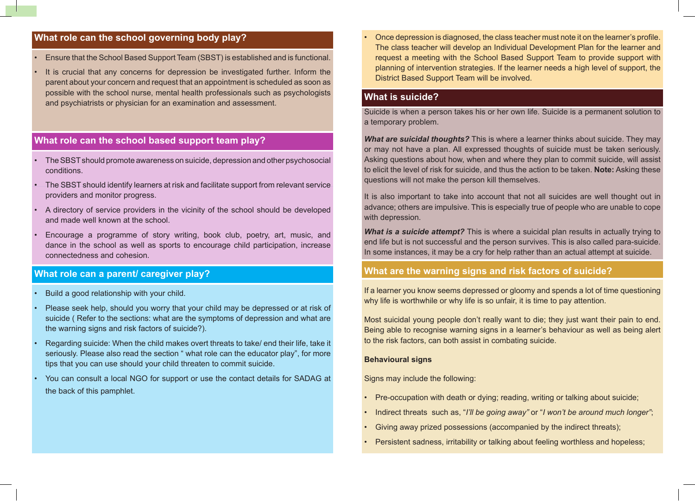# **What role can the school governing body play?**

- Ensure that the School Based Support Team (SBST) is established and is functional.
- It is crucial that any concerns for depression be investigated further. Inform the parent about your concern and request that an appointment is scheduled as soon as possible with the school nurse, mental health professionals such as psychologists and psychiatrists or physician for an examination and assessment.

# **What role can the school based support team play?**

- The SBST should promote awareness on suicide, depression and other psychosocial conditions.
- The SBST should identify learners at risk and facilitate support from relevant service providers and monitor progress.
- A directory of service providers in the vicinity of the school should be developed and made well known at the school.
- Encourage a programme of story writing, book club, poetry, art, music, and dance in the school as well as sports to encourage child participation, increase connectedness and cohesion.

## **What role can a parent/ caregiver play?**

- Build a good relationship with your child.
- Please seek help, should you worry that your child may be depressed or at risk of suicide ( Refer to the sections: what are the symptoms of depression and what are the warning signs and risk factors of suicide?).
- Regarding suicide: When the child makes overt threats to take/ end their life, take it seriously. Please also read the section " what role can the educator play", for more tips that you can use should your child threaten to commit suicide.
- You can consult a local NGO for support or use the contact details for SADAG at the back of this pamphlet.

• Once depression is diagnosed, the class teacher must note it on the learner's profile. The class teacher will develop an Individual Development Plan for the learner and request a meeting with the School Based Support Team to provide support with planning of intervention strategies. If the learner needs a high level of support, the District Based Support Team will be involved.

## **What is suicide?**

Suicide is when a person takes his or her own life. Suicide is a permanent solution to a temporary problem.

*What are suicidal thoughts?* This is where a learner thinks about suicide. They may or may not have a plan. All expressed thoughts of suicide must be taken seriously. Asking questions about how, when and where they plan to commit suicide, will assist to elicit the level of risk for suicide, and thus the action to be taken. **Note:** Asking these questions will not make the person kill themselves.

It is also important to take into account that not all suicides are well thought out in advance; others are impulsive. This is especially true of people who are unable to cope with depression.

*What is a suicide attempt?* This is where a suicidal plan results in actually trying to end life but is not successful and the person survives. This is also called para-suicide. In some instances, it may be a cry for help rather than an actual attempt at suicide.

### **What are the warning signs and risk factors of suicide?**

If a learner you know seems depressed or gloomy and spends a lot of time questioning why life is worthwhile or why life is so unfair, it is time to pay attention.

Most suicidal young people don't really want to die; they just want their pain to end. Being able to recognise warning signs in a learner's behaviour as well as being alert to the risk factors, can both assist in combating suicide.

### **Behavioural signs**

Signs may include the following:

- Pre-occupation with death or dying; reading, writing or talking about suicide;
- Indirect threats such as, "*I'll be going away"* or "*I won't be around much longer"*;
- Giving away prized possessions (accompanied by the indirect threats);
- Persistent sadness, irritability or talking about feeling worthless and hopeless;